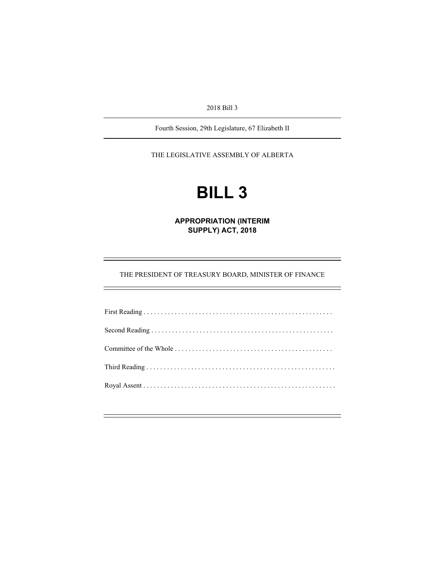2018 Bill 3

Fourth Session, 29th Legislature, 67 Elizabeth II

THE LEGISLATIVE ASSEMBLY OF ALBERTA

# **BILL 3**

**APPROPRIATION (INTERIM SUPPLY) ACT, 2018** 

THE PRESIDENT OF TREASURY BOARD, MINISTER OF FINANCE

÷,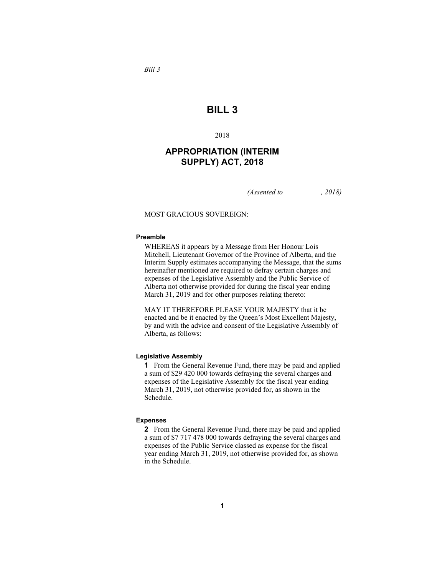## **BILL 3**

2018

## **APPROPRIATION (INTERIM SUPPLY) ACT, 2018**

*(Assented to , 2018)* 

MOST GRACIOUS SOVEREIGN:

#### **Preamble**

WHEREAS it appears by a Message from Her Honour Lois Mitchell, Lieutenant Governor of the Province of Alberta, and the Interim Supply estimates accompanying the Message, that the sums hereinafter mentioned are required to defray certain charges and expenses of the Legislative Assembly and the Public Service of Alberta not otherwise provided for during the fiscal year ending March 31, 2019 and for other purposes relating thereto:

MAY IT THEREFORE PLEASE YOUR MAJESTY that it be enacted and be it enacted by the Queen's Most Excellent Majesty, by and with the advice and consent of the Legislative Assembly of Alberta, as follows:

#### **Legislative Assembly**

**1** From the General Revenue Fund, there may be paid and applied a sum of \$29 420 000 towards defraying the several charges and expenses of the Legislative Assembly for the fiscal year ending March 31, 2019, not otherwise provided for, as shown in the Schedule.

#### **Expenses**

**2** From the General Revenue Fund, there may be paid and applied a sum of \$7 717 478 000 towards defraying the several charges and expenses of the Public Service classed as expense for the fiscal year ending March 31, 2019, not otherwise provided for, as shown in the Schedule.

*Bill 3*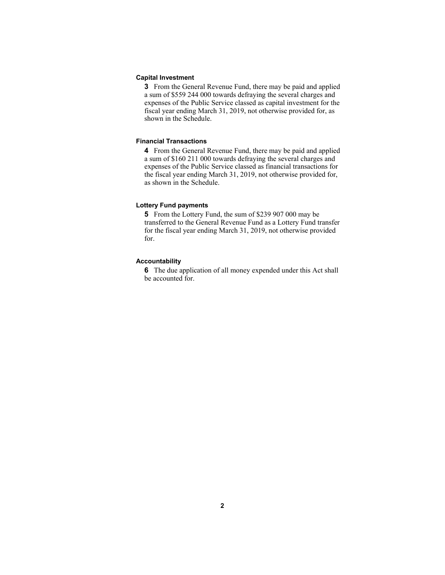#### **Capital Investment**

**3** From the General Revenue Fund, there may be paid and applied a sum of \$559 244 000 towards defraying the several charges and expenses of the Public Service classed as capital investment for the fiscal year ending March 31, 2019, not otherwise provided for, as shown in the Schedule.

#### **Financial Transactions**

**4** From the General Revenue Fund, there may be paid and applied a sum of \$160 211 000 towards defraying the several charges and expenses of the Public Service classed as financial transactions for the fiscal year ending March 31, 2019, not otherwise provided for, as shown in the Schedule.

#### **Lottery Fund payments**

**5** From the Lottery Fund, the sum of \$239 907 000 may be transferred to the General Revenue Fund as a Lottery Fund transfer for the fiscal year ending March 31, 2019, not otherwise provided for.

#### **Accountability**

**6** The due application of all money expended under this Act shall be accounted for.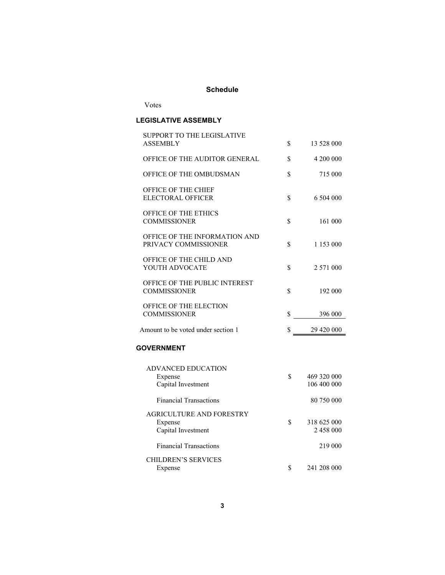# **Schedule**

Votes

## **LEGISLATIVE ASSEMBLY**

| SUPPORT TO THE LEGISLATIVE<br>ASSEMBLY                | \$ | 13 528 000  |
|-------------------------------------------------------|----|-------------|
| OFFICE OF THE AUDITOR GENERAL                         | \$ | 4 200 000   |
|                                                       |    |             |
| OFFICE OF THE OMBUDSMAN                               | \$ | 715 000     |
| OFFICE OF THE CHIEF<br><b>ELECTORAL OFFICER</b>       | \$ | 6 504 000   |
| <b>OFFICE OF THE ETHICS</b><br><b>COMMISSIONER</b>    | \$ | 161 000     |
| OFFICE OF THE INFORMATION AND<br>PRIVACY COMMISSIONER | \$ | 1 153 000   |
| OFFICE OF THE CHILD AND<br>YOUTH ADVOCATE             | \$ | 2 571 000   |
| OFFICE OF THE PUBLIC INTEREST<br><b>COMMISSIONER</b>  | \$ | 192 000     |
| OFFICE OF THE ELECTION<br><b>COMMISSIONER</b>         | \$ | 396 000     |
| Amount to be voted under section 1                    | \$ | 29 420 000  |
| <b>GOVERNMENT</b>                                     |    |             |
| <b>ADVANCED EDUCATION</b>                             |    |             |
| Expense                                               | S. | 469 320 000 |
| Capital Investment                                    |    | 106 400 000 |
| <b>Financial Transactions</b>                         |    | 80 750 000  |
| <b>AGRICULTURE AND FORESTRY</b>                       |    |             |
| Expense                                               | \$ | 318 625 000 |
| Capital Investment                                    |    | 2 458 000   |
| <b>Financial Transactions</b>                         |    | 219 000     |
| <b>CHILDREN'S SERVICES</b>                            |    |             |
| Expense                                               | \$ | 241 208 000 |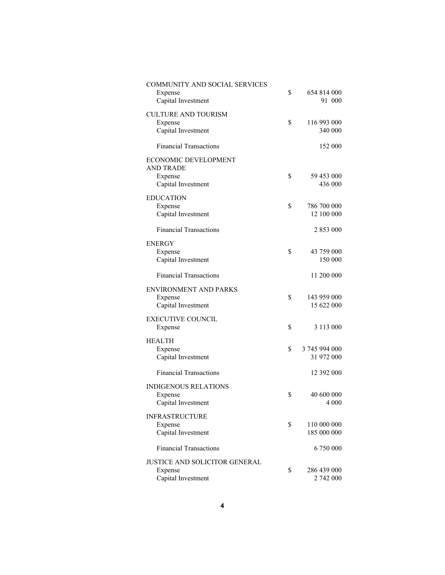| <b>COMMUNITY AND SOCIAL SERVICES</b><br>Expense<br>Capital Investment     | \$<br>654 814 000<br>91 000       |
|---------------------------------------------------------------------------|-----------------------------------|
| <b>CULTURE AND TOURISM</b><br>Expense<br>Capital Investment               | \$<br>116 993 000<br>340 000      |
| <b>Financial Transactions</b>                                             | 152 000                           |
| ECONOMIC DEVELOPMENT<br><b>AND TRADE</b><br>Expense<br>Capital Investment | \$<br>59 453 000<br>436 000       |
| <b>EDUCATION</b>                                                          |                                   |
| Expense<br>Capital Investment                                             | \$<br>786 700 000<br>12 100 000   |
| <b>Financial Transactions</b>                                             | 2 853 000                         |
| ENERGY<br>Expense<br>Capital Investment                                   | \$<br>43 759 000<br>150 000       |
| <b>Financial Transactions</b>                                             | 11 200 000                        |
| <b>ENVIRONMENT AND PARKS</b><br>Expense<br>Capital Investment             | \$<br>143 959 000<br>15 622 000   |
| <b>EXECUTIVE COUNCIL</b><br>Expense                                       | \$<br>3 113 000                   |
| <b>HEALTH</b>                                                             |                                   |
| Expense<br>Capital Investment                                             | \$<br>3 745 994 000<br>31 972 000 |
| <b>Financial Transactions</b>                                             | 12 392 000                        |
| <b>INDIGENOUS RELATIONS</b><br>Expense<br>Capital Investment              | \$<br>40 600 000<br>4 000         |
| <b>INFRASTRUCTURE</b>                                                     |                                   |
| Expense<br>Capital Investment                                             | \$<br>110 000 000<br>185 000 000  |
| <b>Financial Transactions</b>                                             | 6 750 000                         |
| <b>JUSTICE AND SOLICITOR GENERAL</b>                                      |                                   |
| Expense<br>Capital Investment                                             | \$<br>286 439 000<br>2 742 000    |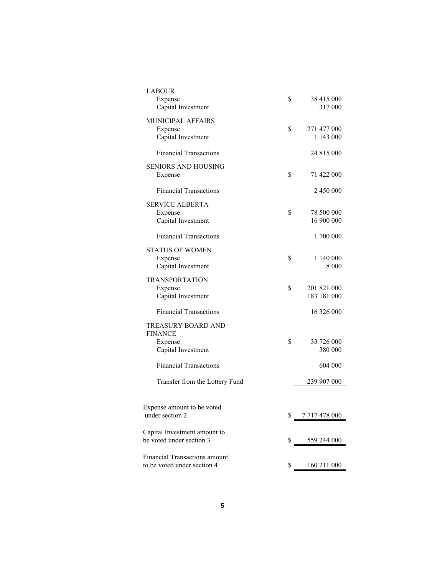| <b>LABOUR</b><br>Expense<br>Capital Investment               | \$ | 38 415 000<br>317 000      |
|--------------------------------------------------------------|----|----------------------------|
| MUNICIPAL AFFAIRS<br>Expense<br>Capital Investment           | \$ | 271 477 000<br>1 143 000   |
| <b>Financial Transactions</b>                                |    | 24 815 000                 |
| <b>SENIORS AND HOUSING</b><br>Expense                        | \$ | 71 422 000                 |
| <b>Financial Transactions</b>                                |    | 2 450 000                  |
| <b>SERVICE ALBERTA</b><br>Expense<br>Capital Investment      | \$ | 78 500 000<br>16 900 000   |
| <b>Financial Transactions</b>                                |    | 1700 000                   |
| STATUS OF WOMEN<br>Expense<br>Capital Investment             | \$ | 1 140 000<br>8 0 0 0       |
| <b>TRANSPORTATION</b><br>Expense<br>Capital Investment       | \$ | 201 821 000<br>183 181 000 |
| <b>Financial Transactions</b>                                |    | 16 326 000                 |
| TREASURY BOARD AND<br><b>FINANCE</b><br>Expense              | \$ | 33 726 000                 |
| Capital Investment                                           |    | 380 000                    |
| <b>Financial Transactions</b>                                |    | 604 000                    |
| Transfer from the Lottery Fund                               |    | 239 907 000                |
| Expense amount to be voted<br>under section 2                | ¢  | 7 717 478 000              |
| Capital Investment amount to<br>be voted under section 3     | \$ | 559 244 000                |
| Financial Transactions amount<br>to be voted under section 4 | \$ | 160 211 000                |